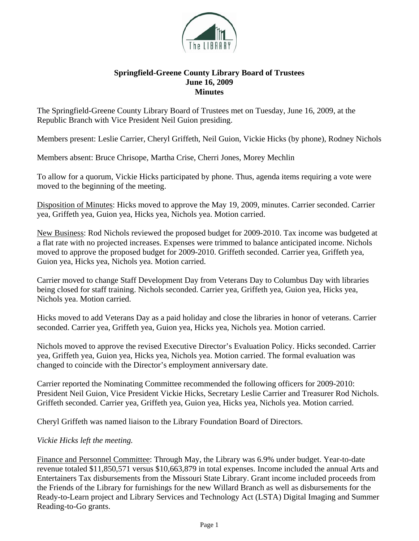

## **Springfield-Greene County Library Board of Trustees June 16, 2009 Minutes**

The Springfield-Greene County Library Board of Trustees met on Tuesday, June 16, 2009, at the Republic Branch with Vice President Neil Guion presiding.

Members present: Leslie Carrier, Cheryl Griffeth, Neil Guion, Vickie Hicks (by phone), Rodney Nichols

Members absent: Bruce Chrisope, Martha Crise, Cherri Jones, Morey Mechlin

To allow for a quorum, Vickie Hicks participated by phone. Thus, agenda items requiring a vote were moved to the beginning of the meeting.

Disposition of Minutes: Hicks moved to approve the May 19, 2009, minutes. Carrier seconded. Carrier yea, Griffeth yea, Guion yea, Hicks yea, Nichols yea. Motion carried.

New Business: Rod Nichols reviewed the proposed budget for 2009-2010. Tax income was budgeted at a flat rate with no projected increases. Expenses were trimmed to balance anticipated income. Nichols moved to approve the proposed budget for 2009-2010. Griffeth seconded. Carrier yea, Griffeth yea, Guion yea, Hicks yea, Nichols yea. Motion carried.

Carrier moved to change Staff Development Day from Veterans Day to Columbus Day with libraries being closed for staff training. Nichols seconded. Carrier yea, Griffeth yea, Guion yea, Hicks yea, Nichols yea. Motion carried.

Hicks moved to add Veterans Day as a paid holiday and close the libraries in honor of veterans. Carrier seconded. Carrier yea, Griffeth yea, Guion yea, Hicks yea, Nichols yea. Motion carried.

Nichols moved to approve the revised Executive Director's Evaluation Policy. Hicks seconded. Carrier yea, Griffeth yea, Guion yea, Hicks yea, Nichols yea. Motion carried. The formal evaluation was changed to coincide with the Director's employment anniversary date.

Carrier reported the Nominating Committee recommended the following officers for 2009-2010: President Neil Guion, Vice President Vickie Hicks, Secretary Leslie Carrier and Treasurer Rod Nichols. Griffeth seconded. Carrier yea, Griffeth yea, Guion yea, Hicks yea, Nichols yea. Motion carried.

Cheryl Griffeth was named liaison to the Library Foundation Board of Directors.

*Vickie Hicks left the meeting.* 

Finance and Personnel Committee: Through May, the Library was 6.9% under budget. Year-to-date revenue totaled \$11,850,571 versus \$10,663,879 in total expenses. Income included the annual Arts and Entertainers Tax disbursements from the Missouri State Library. Grant income included proceeds from the Friends of the Library for furnishings for the new Willard Branch as well as disbursements for the Ready-to-Learn project and Library Services and Technology Act (LSTA) Digital Imaging and Summer Reading-to-Go grants.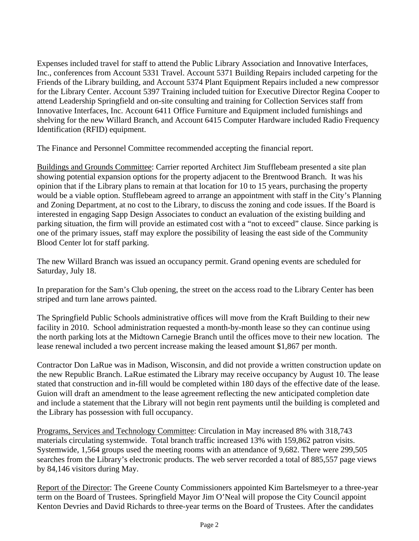Expenses included travel for staff to attend the Public Library Association and Innovative Interfaces, Inc., conferences from Account 5331 Travel. Account 5371 Building Repairs included carpeting for the Friends of the Library building, and Account 5374 Plant Equipment Repairs included a new compressor for the Library Center. Account 5397 Training included tuition for Executive Director Regina Cooper to attend Leadership Springfield and on-site consulting and training for Collection Services staff from Innovative Interfaces, Inc. Account 6411 Office Furniture and Equipment included furnishings and shelving for the new Willard Branch, and Account 6415 Computer Hardware included Radio Frequency Identification (RFID) equipment.

The Finance and Personnel Committee recommended accepting the financial report.

Buildings and Grounds Committee: Carrier reported Architect Jim Stufflebeam presented a site plan showing potential expansion options for the property adjacent to the Brentwood Branch. It was his opinion that if the Library plans to remain at that location for 10 to 15 years, purchasing the property would be a viable option. Stufflebeam agreed to arrange an appointment with staff in the City's Planning and Zoning Department, at no cost to the Library, to discuss the zoning and code issues. If the Board is interested in engaging Sapp Design Associates to conduct an evaluation of the existing building and parking situation, the firm will provide an estimated cost with a "not to exceed" clause. Since parking is one of the primary issues, staff may explore the possibility of leasing the east side of the Community Blood Center lot for staff parking.

The new Willard Branch was issued an occupancy permit. Grand opening events are scheduled for Saturday, July 18.

In preparation for the Sam's Club opening, the street on the access road to the Library Center has been striped and turn lane arrows painted.

The Springfield Public Schools administrative offices will move from the Kraft Building to their new facility in 2010. School administration requested a month-by-month lease so they can continue using the north parking lots at the Midtown Carnegie Branch until the offices move to their new location. The lease renewal included a two percent increase making the leased amount \$1,867 per month.

Contractor Don LaRue was in Madison, Wisconsin, and did not provide a written construction update on the new Republic Branch. LaRue estimated the Library may receive occupancy by August 10. The lease stated that construction and in-fill would be completed within 180 days of the effective date of the lease. Guion will draft an amendment to the lease agreement reflecting the new anticipated completion date and include a statement that the Library will not begin rent payments until the building is completed and the Library has possession with full occupancy.

Programs, Services and Technology Committee: Circulation in May increased 8% with 318,743 materials circulating systemwide. Total branch traffic increased 13% with 159,862 patron visits. Systemwide, 1,564 groups used the meeting rooms with an attendance of 9,682. There were 299,505 searches from the Library's electronic products. The web server recorded a total of 885,557 page views by 84,146 visitors during May.

Report of the Director: The Greene County Commissioners appointed Kim Bartelsmeyer to a three-year term on the Board of Trustees. Springfield Mayor Jim O'Neal will propose the City Council appoint Kenton Devries and David Richards to three-year terms on the Board of Trustees. After the candidates